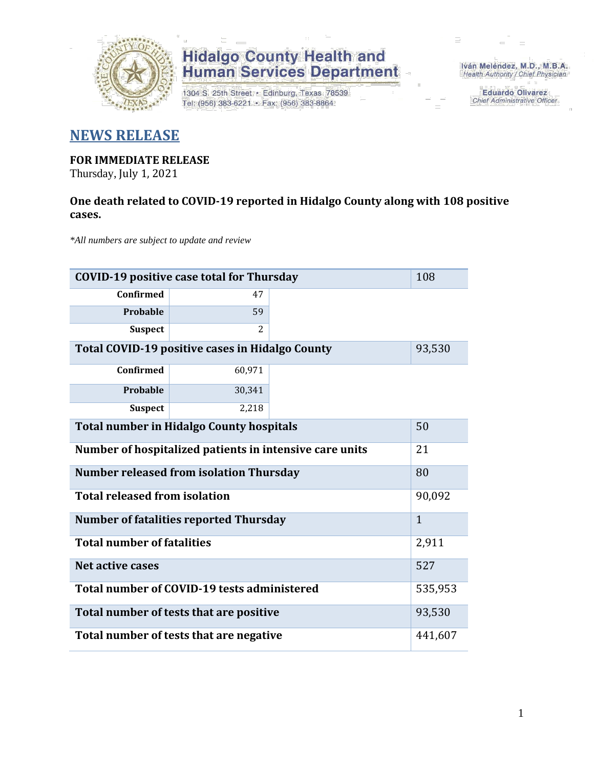

# **Hidalgo County Health and<br>Human Services Department**

1304 S. 25th Street · Edinburg, Texas 78539 Tel: (956) 383-6221 · Fax: (956) 383-8864

Iván Meléndez, M.D., M.B.A. Health Authority / Chief Physician

> **Eduardo Olivarez** Chief Administrative Officer

### **NEWS RELEASE**

### **FOR IMMEDIATE RELEASE**

Thursday, July 1, 2021

### **One death related to COVID-19 reported in Hidalgo County along with 108 positive cases.**

*\*All numbers are subject to update and review*

| 108<br><b>COVID-19 positive case total for Thursday</b> |         |  |  |  |
|---------------------------------------------------------|---------|--|--|--|
| <b>Confirmed</b>                                        | 47      |  |  |  |
| Probable                                                | 59      |  |  |  |
| <b>Suspect</b>                                          | 2       |  |  |  |
| Total COVID-19 positive cases in Hidalgo County         | 93,530  |  |  |  |
| <b>Confirmed</b>                                        | 60,971  |  |  |  |
| Probable                                                | 30,341  |  |  |  |
| <b>Suspect</b>                                          | 2,218   |  |  |  |
| <b>Total number in Hidalgo County hospitals</b>         | 50      |  |  |  |
| Number of hospitalized patients in intensive care units | 21      |  |  |  |
| <b>Number released from isolation Thursday</b>          | 80      |  |  |  |
| <b>Total released from isolation</b>                    | 90,092  |  |  |  |
| <b>Number of fatalities reported Thursday</b>           |         |  |  |  |
| <b>Total number of fatalities</b>                       | 2,911   |  |  |  |
| <b>Net active cases</b>                                 | 527     |  |  |  |
| Total number of COVID-19 tests administered             | 535,953 |  |  |  |
| Total number of tests that are positive                 |         |  |  |  |
| Total number of tests that are negative                 |         |  |  |  |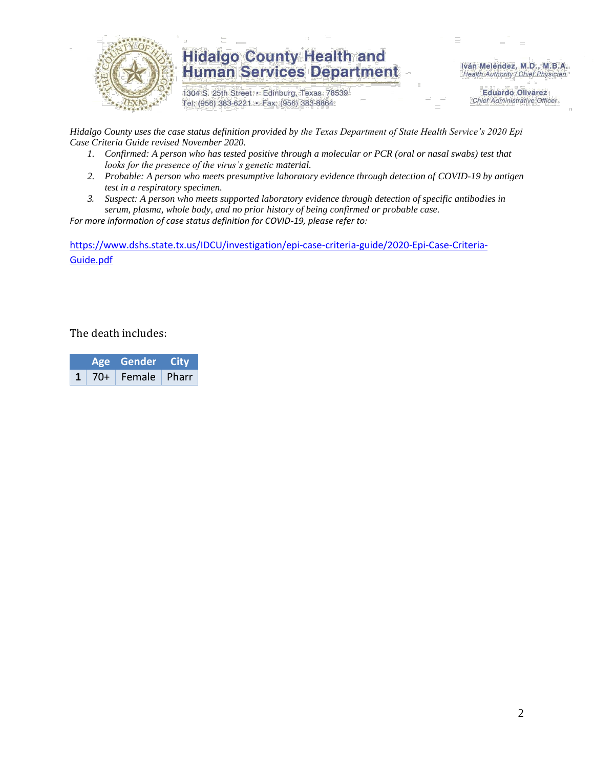

## **Hidalgo County Health and Human Services Department**

1304 S. 25th Street · Edinburg, Texas 78539 Tel: (956) 383-6221 · Fax: (956) 383-8864

Iván Meléndez, M.D., M.B.A. Health Authority / Chief Physician

> **Eduardo Olivarez Chief Administrative Officer**

*Hidalgo County uses the case status definition provided by the Texas Department of State Health Service's 2020 Epi Case Criteria Guide revised November 2020.*

- *1. Confirmed: A person who has tested positive through a molecular or PCR (oral or nasal swabs) test that looks for the presence of the virus's genetic material.*
- *2. Probable: A person who meets presumptive laboratory evidence through detection of COVID-19 by antigen test in a respiratory specimen.*
- *3. Suspect: A person who meets supported laboratory evidence through detection of specific antibodies in serum, plasma, whole body, and no prior history of being confirmed or probable case.*

*For more information of case status definition for COVID-19, please refer to:*

[https://www.dshs.state.tx.us/IDCU/investigation/epi-case-criteria-guide/2020-Epi-Case-Criteria-](https://www.dshs.state.tx.us/IDCU/investigation/epi-case-criteria-guide/2020-Epi-Case-Criteria-Guide.pdf)[Guide.pdf](https://www.dshs.state.tx.us/IDCU/investigation/epi-case-criteria-guide/2020-Epi-Case-Criteria-Guide.pdf)

The death includes:

|  |  | Age Gender City           |  |  |
|--|--|---------------------------|--|--|
|  |  | $1 \mid 70+$ Female Pharr |  |  |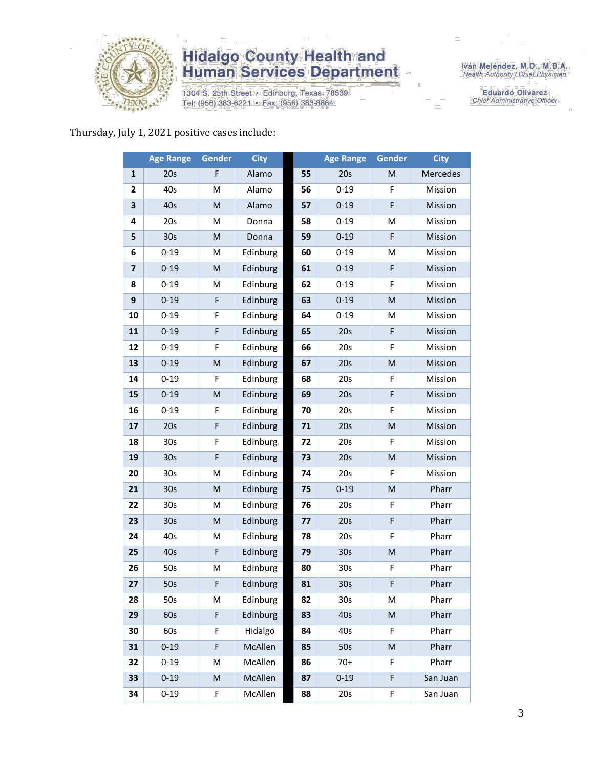

# **Hidalgo County Health and<br>Human Services Department**

1304 S. 25th Street · Edinburg, Texas 78539 Tel: (956) 383-6221 · Fax: (956) 383-8864

Iván Meléndez, M.D., M.B.A.<br>Health Authority / Chief Physician

**Eduardo Olivarez** Chief Administrative Officer

#### Thursday, July 1, 2021 positive cases include:

|    | <b>Age Range</b> | <b>Gender</b> | <b>City</b> |    | <b>Age Range</b> | Gender                                                                                                     | <b>City</b> |
|----|------------------|---------------|-------------|----|------------------|------------------------------------------------------------------------------------------------------------|-------------|
| 1  | 20s              | F             | Alamo       | 55 | 20s              | M                                                                                                          | Mercedes    |
| 2  | 40s              | M             | Alamo       | 56 | $0 - 19$         | F                                                                                                          | Mission     |
| 3  | 40s              | M             | Alamo       | 57 | $0 - 19$         | F                                                                                                          | Mission     |
| 4  | 20s              | M             | Donna       | 58 | $0 - 19$         | M                                                                                                          | Mission     |
| 5  | 30s              | M             | Donna       | 59 | $0 - 19$         | F                                                                                                          | Mission     |
| 6  | $0 - 19$         | M             | Edinburg    | 60 | $0 - 19$         | M                                                                                                          | Mission     |
| 7  | $0 - 19$         | M             | Edinburg    | 61 | $0 - 19$         | $\mathsf F$                                                                                                | Mission     |
| 8  | $0 - 19$         | М             | Edinburg    | 62 | $0 - 19$         | F                                                                                                          | Mission     |
| 9  | $0 - 19$         | F             | Edinburg    | 63 | $0 - 19$         | ${\sf M}$                                                                                                  | Mission     |
| 10 | $0 - 19$         | F             | Edinburg    | 64 | $0 - 19$         | M                                                                                                          | Mission     |
| 11 | $0 - 19$         | F             | Edinburg    | 65 | 20s              | F                                                                                                          | Mission     |
| 12 | $0 - 19$         | F             | Edinburg    | 66 | 20s              | F                                                                                                          | Mission     |
| 13 | $0 - 19$         | M             | Edinburg    | 67 | 20s              | M                                                                                                          | Mission     |
| 14 | $0 - 19$         | F             | Edinburg    | 68 | 20s              | F                                                                                                          | Mission     |
| 15 | $0 - 19$         | M             | Edinburg    | 69 | 20s              | $\mathsf F$                                                                                                | Mission     |
| 16 | $0 - 19$         | F             | Edinburg    | 70 | 20s              | F                                                                                                          | Mission     |
| 17 | 20s              | F             | Edinburg    | 71 | 20s              | ${\sf M}$                                                                                                  | Mission     |
| 18 | 30s              | F             | Edinburg    | 72 | 20s              | F                                                                                                          | Mission     |
| 19 | 30 <sub>s</sub>  | F             | Edinburg    | 73 | 20s              | ${\sf M}$                                                                                                  | Mission     |
| 20 | 30 <sub>s</sub>  | M             | Edinburg    | 74 | 20s              | F                                                                                                          | Mission     |
| 21 | 30s              | M             | Edinburg    | 75 | $0 - 19$         | $\mathsf{M}% _{T}=\mathsf{M}_{T}\!\left( a,b\right) ,\ \mathsf{M}_{T}=\mathsf{M}_{T}\!\left( a,b\right) ,$ | Pharr       |
| 22 | 30 <sub>s</sub>  | Μ             | Edinburg    | 76 | 20s              | F                                                                                                          | Pharr       |
| 23 | 30 <sub>s</sub>  | M             | Edinburg    | 77 | 20s              | $\mathsf F$                                                                                                | Pharr       |
| 24 | 40s              | M             | Edinburg    | 78 | 20s              | F                                                                                                          | Pharr       |
| 25 | 40s              | F             | Edinburg    | 79 | 30 <sub>s</sub>  | ${\sf M}$                                                                                                  | Pharr       |
| 26 | 50s              | M             | Edinburg    | 80 | 30 <sub>s</sub>  | $\mathsf F$                                                                                                | Pharr       |
| 27 | 50s              | F             | Edinburg    | 81 | 30s              | F                                                                                                          | Pharr       |
| 28 | 50s              | М             | Edinburg    | 82 | 30s              | м                                                                                                          | Pharr       |
| 29 | 60s              | F             | Edinburg    | 83 | 40s              | ${\sf M}$                                                                                                  | Pharr       |
| 30 | 60s              | F             | Hidalgo     | 84 | 40s              | F                                                                                                          | Pharr       |
| 31 | $0 - 19$         | F             | McAllen     | 85 | 50s              | ${\sf M}$                                                                                                  | Pharr       |
| 32 | $0 - 19$         | Μ             | McAllen     | 86 | $70+$            | F                                                                                                          | Pharr       |
| 33 | $0 - 19$         | M             | McAllen     | 87 | $0 - 19$         | F                                                                                                          | San Juan    |
| 34 | $0 - 19$         | F             | McAllen     | 88 | 20s              | F                                                                                                          | San Juan    |